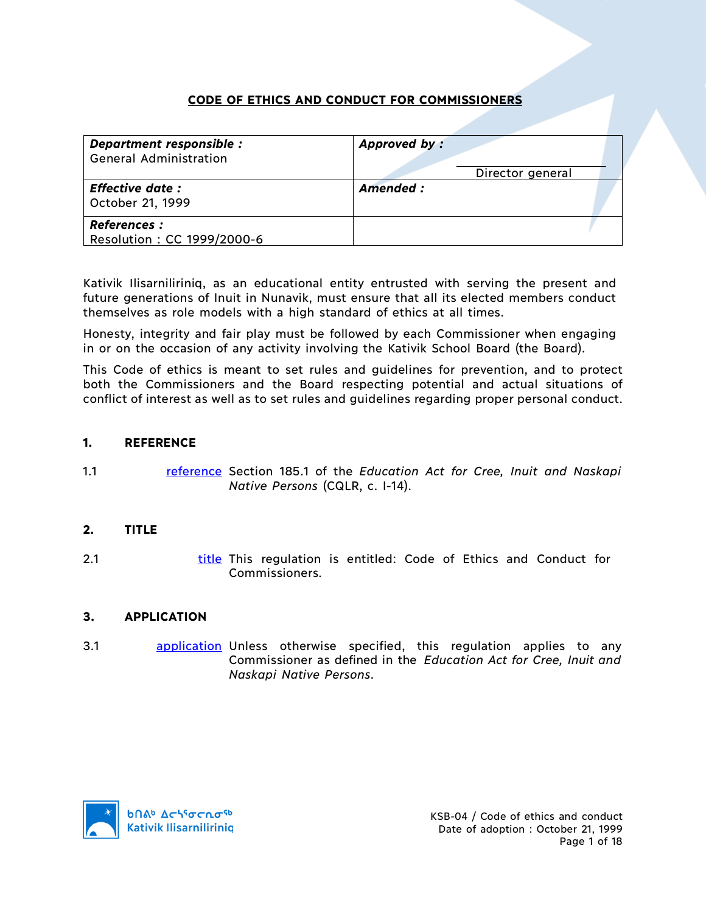# **CODE OF ETHICS AND CONDUCT FOR COMMISSIONERS**

| Department responsible :<br><b>General Administration</b> | Approved by:     |
|-----------------------------------------------------------|------------------|
|                                                           | Director general |
| <b>Effective date:</b><br>October 21, 1999                | Amended:         |
| <b>References :</b><br>Resolution: CC 1999/2000-6         |                  |

Kativik Ilisarniliriniq, as an educational entity entrusted with serving the present and future generations of Inuit in Nunavik, must ensure that all its elected members conduct themselves as role models with a high standard of ethics at all times.

Honesty, integrity and fair play must be followed by each Commissioner when engaging in or on the occasion of any activity involving the Kativik School Board (the Board).

This Code of ethics is meant to set rules and guidelines for prevention, and to protect both the Commissioners and the Board respecting potential and actual situations of conflict of interest as well as to set rules and guidelines regarding proper personal conduct.

### **1. REFERENCE**

1.1 reference Section 185.1 of the *Education Act for Cree, Inuit and Naskapi Native Persons* (CQLR, c. I-14).

## **2. TITLE**

2.1 title This regulation is entitled: Code of Ethics and Conduct for Commissioners.

#### **3. APPLICATION**

3.1 **application** Unless otherwise specified, this regulation applies to any Commissioner as defined in the *Education Act for Cree, Inuit and Naskapi Native Persons*.

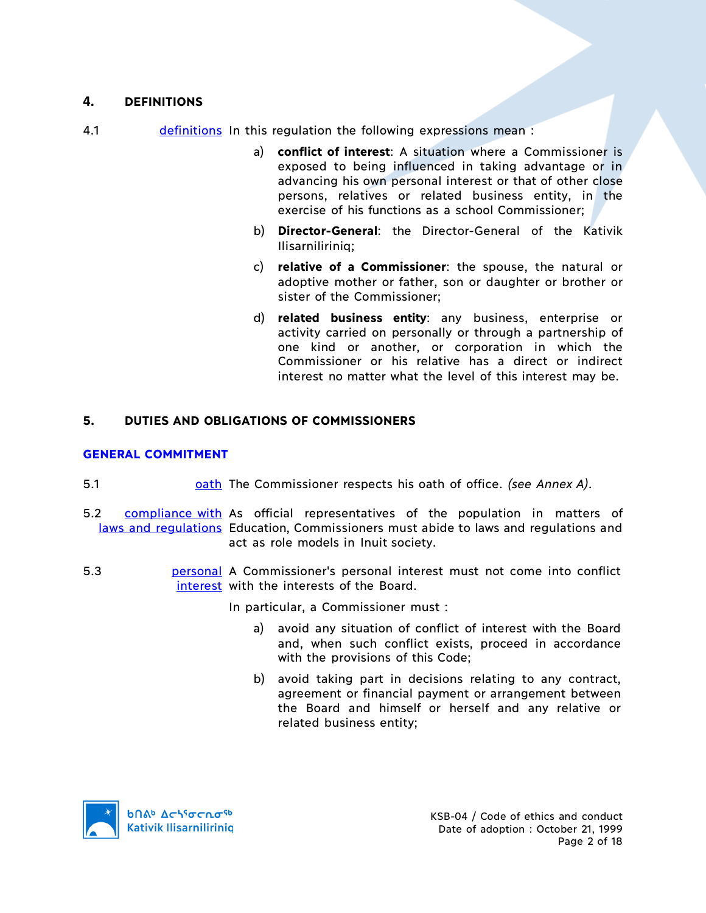# **4. DEFINITIONS**

- 4.1 definitions In this regulation the following expressions mean :
	- a) **conflict of interest**: A situation where a Commissioner is exposed to being influenced in taking advantage or in advancing his own personal interest or that of other close persons, relatives or related business entity, in the exercise of his functions as a school Commissioner;
	- b) **Director-General**: the Director-General of the Kativik Ilisarniliriniq;
	- c) **relative of a Commissioner**: the spouse, the natural or adoptive mother or father, son or daughter or brother or sister of the Commissioner;
	- d) **related business entity**: any business, enterprise or activity carried on personally or through a partnership of one kind or another, or corporation in which the Commissioner or his relative has a direct or indirect interest no matter what the level of this interest may be.

## **5. DUTIES AND OBLIGATIONS OF COMMISSIONERS**

### **GENERAL COMMITMENT**

- 5.1 oath The Commissioner respects his oath of office. *(see Annex A)*.
- 5.2 compliance with As official representatives of the population in matters of laws and regulations Education, Commissioners must abide to laws and regulations and act as role models in Inuit society.
- 5.3 **bersonal** A Commissioner's personal interest must not come into conflict interest with the interests of the Board.

In particular, a Commissioner must :

- a) avoid any situation of conflict of interest with the Board and, when such conflict exists, proceed in accordance with the provisions of this Code;
- b) avoid taking part in decisions relating to any contract, agreement or financial payment or arrangement between the Board and himself or herself and any relative or related business entity;

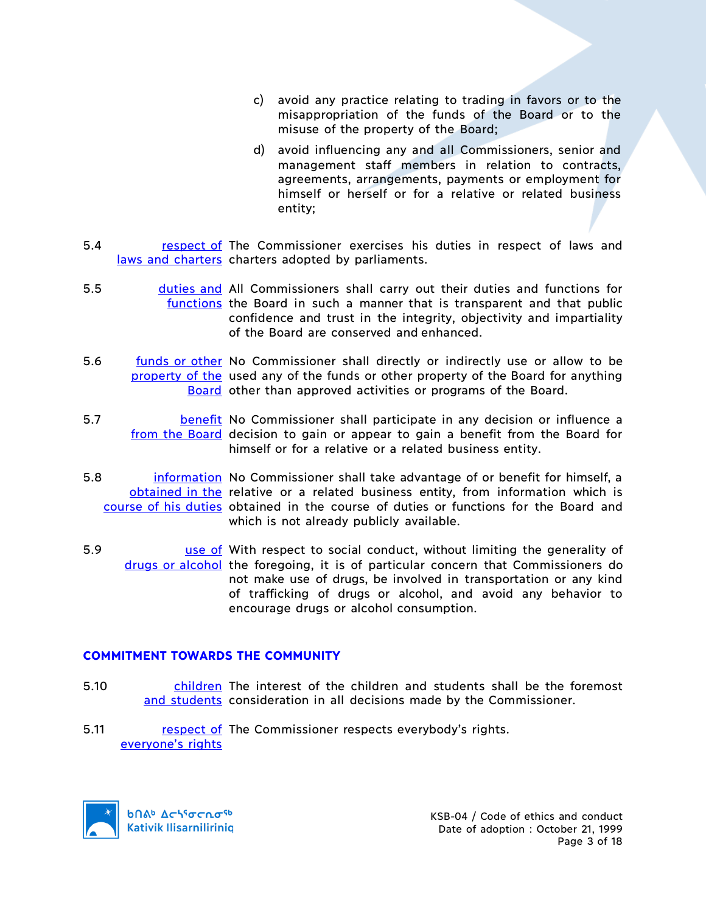- c) avoid any practice relating to trading in favors or to the misappropriation of the funds of the Board or to the misuse of the property of the Board;
- d) avoid influencing any and all Commissioners, senior and management staff members in relation to contracts, agreements, arrangements, payments or employment for himself or herself or for a relative or related business entity;
- 5.4 respect of The Commissioner exercises his duties in respect of laws and laws and charters charters adopted by parliaments.
- 5.5 duties and All Commissioners shall carry out their duties and functions for functions the Board in such a manner that is transparent and that public confidence and trust in the integrity, objectivity and impartiality of the Board are conserved and enhanced.
- 5.6 funds or other No Commissioner shall directly or indirectly use or allow to be property of the used any of the funds or other property of the Board for anything Board other than approved activities or programs of the Board.
- 5.7 **benefit No Commissioner shall participate in any decision or influence a** from the Board decision to gain or appear to gain a benefit from the Board for himself or for a relative or a related business entity.
- 5.8 **information** No Commissioner shall take advantage of or benefit for himself, a obtained in the relative or a related business entity, from information which is course of his duties obtained in the course of duties or functions for the Board and which is not already publicly available.
- 5.9 **use of** With respect to social conduct, without limiting the generality of drugs or alcohol the foregoing, it is of particular concern that Commissioners do not make use of drugs, be involved in transportation or any kind of trafficking of drugs or alcohol, and avoid any behavior to encourage drugs or alcohol consumption.

#### **COMMITMENT TOWARDS THE COMMUNITY**

- 5.10 **children** The interest of the children and students shall be the foremost and students consideration in all decisions made by the Commissioner.
- 5.11 respect of The Commissioner respects everybody's rights. everyone's rights

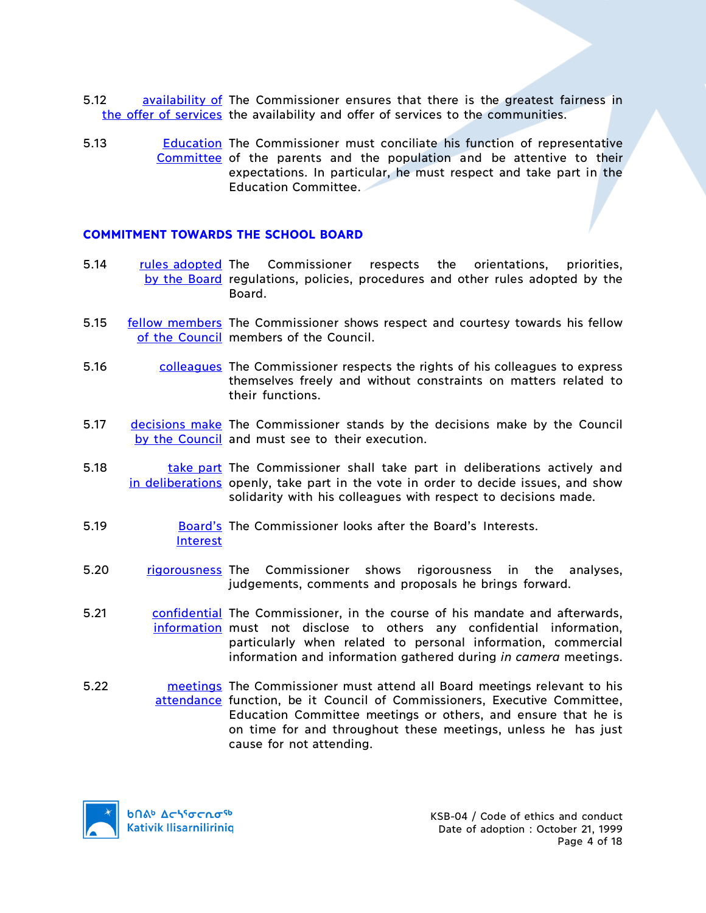- 5.12 **availability of The Commissioner ensures that there is the greatest fairness in** the offer of services the availability and offer of services to the communities.
- 5.13 **Education** The Commissioner must conciliate his function of representative Committee of the parents and the population and be attentive to their expectations. In particular, he must respect and take part in the Education Committee.

### **COMMITMENT TOWARDS THE SCHOOL BOARD**

- 5.14 rules adopted The Commissioner respects the orientations, priorities, by the Board regulations, policies, procedures and other rules adopted by the Board.
- 5.15 fellow members The Commissioner shows respect and courtesy towards his fellow of the Council members of the Council.
- 5.16 **colleagues** The Commissioner respects the rights of his colleagues to express themselves freely and without constraints on matters related to their functions.
- 5.17 decisions make The Commissioner stands by the decisions make by the Council by the Council and must see to their execution.
- 5.18 **take part** The Commissioner shall take part in deliberations actively and in deliberations openly, take part in the vote in order to decide issues, and show solidarity with his colleagues with respect to decisions made.
- 5.19 **Board's** The Commissioner looks after the Board's Interests. Interest
- 5.20 rigorousness The Commissioner shows rigorousness in the analyses, judgements, comments and proposals he brings forward.
- 5.21 confidential The Commissioner, in the course of his mandate and afterwards, information must not disclose to others any confidential information, particularly when related to personal information, commercial information and information gathered during *in camera* meetings.
- 5.22 **meetings** The Commissioner must attend all Board meetings relevant to his attendance function, be it Council of Commissioners, Executive Committee, Education Committee meetings or others, and ensure that he is on time for and throughout these meetings, unless he has just cause for not attending.

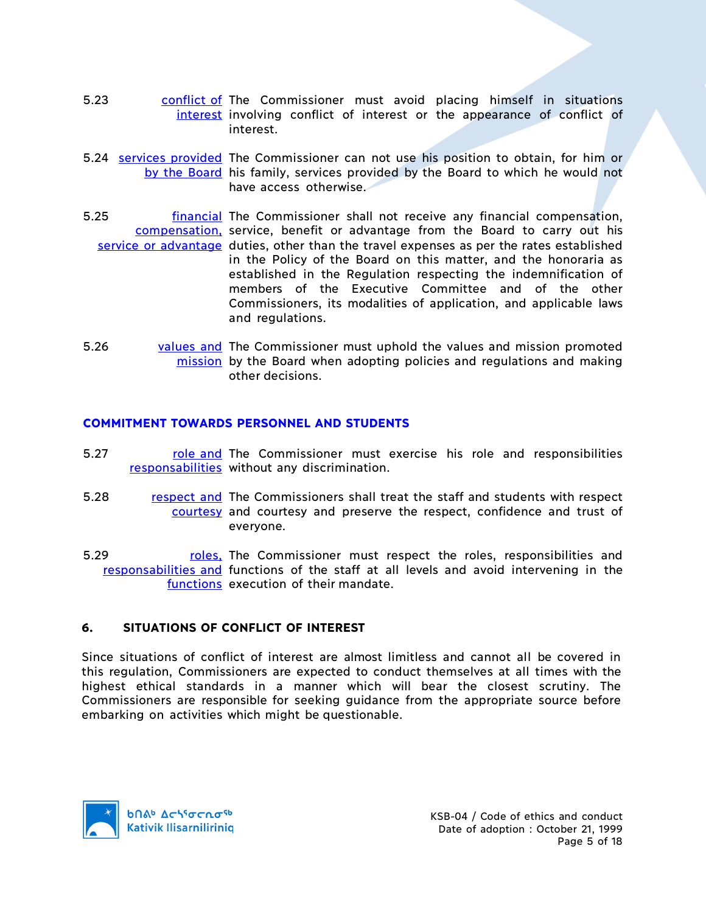- 5.23 **conflict of The Commissioner must avoid placing himself in situations** interest involving conflict of interest or the appearance of conflict of interest.
- 5.24 services provided The Commissioner can not use his position to obtain, for him or by the Board his family, services provided by the Board to which he would not have access otherwise
- 5.25 **financial The Commissioner shall not receive any financial compensation,** compensation, service, benefit or advantage from the Board to carry out his service or advantage duties, other than the travel expenses as per the rates established in the Policy of the Board on this matter, and the honoraria as established in the Regulation respecting the indemnification of members of the Executive Committee and of the other Commissioners, its modalities of application, and applicable laws and regulations.
- 5.26 values and The Commissioner must uphold the values and mission promoted mission by the Board when adopting policies and regulations and making other decisions.

### **COMMITMENT TOWARDS PERSONNEL AND STUDENTS**

- 5.27 role and The Commissioner must exercise his role and responsibilities responsabilities without any discrimination.
- 5.28 respect and The Commissioners shall treat the staff and students with respect courtesy and courtesy and preserve the respect, confidence and trust of everyone.
- 5.29 **roles**, The Commissioner must respect the roles, responsibilities and responsabilities and functions of the staff at all levels and avoid intervening in the functions execution of their mandate.

## **6. SITUATIONS OF CONFLICT OF INTEREST**

Since situations of conflict of interest are almost limitless and cannot all be covered in this regulation, Commissioners are expected to conduct themselves at all times with the highest ethical standards in a manner which will bear the closest scrutiny. The Commissioners are responsible for seeking guidance from the appropriate source before embarking on activities which might be questionable.

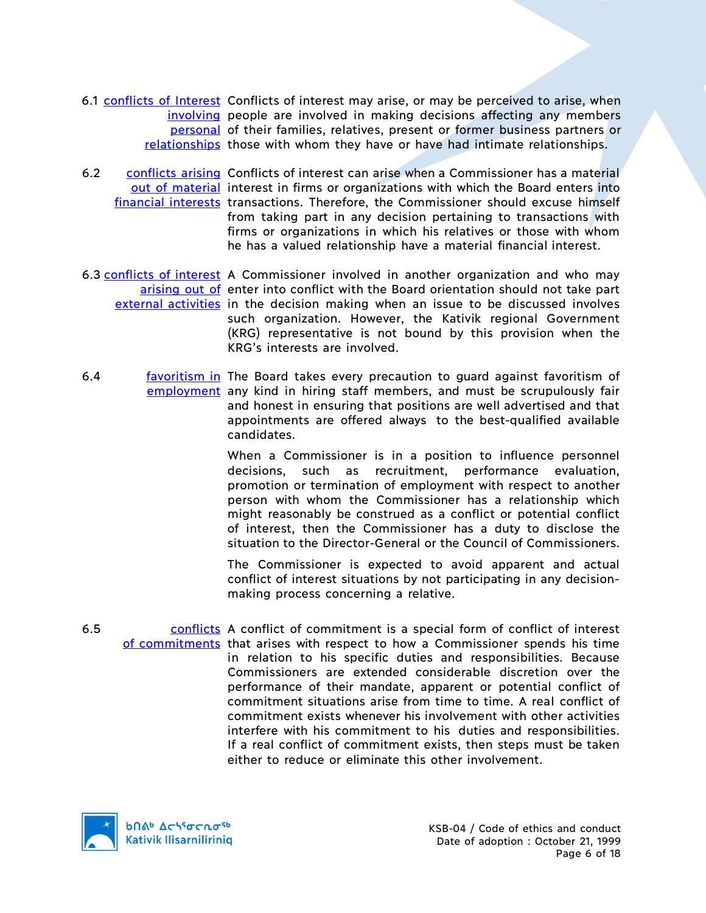- 6.1 conflicts of Interest Conflicts of interest may arise, or may be perceived to arise, when involving people are involved in making decisions affecting any members personal of their families, relatives, present or former business partners or relationships those with whom they have or have had intimate relationships.
- 6.2 conflicts arising Conflicts of interest can arise when a Commissioner has a material out of material interest in firms or organizations with which the Board enters into financial interests transactions. Therefore, the Commissioner should excuse himself from taking part in any decision pertaining to transactions with firms or organizations in which his relatives or those with whom he has a valued relationship have a material financial interest.
- 6.3 conflicts of interest A Commissioner involved in another organization and who may arising out of enter into conflict with the Board orientation should not take part external activities in the decision making when an issue to be discussed involves such organization. However, the Kativik regional Government (KRG) representative is not bound by this provision when the KRG's interests are involved.
- 6.4 **favoritism in The Board takes every precaution to guard against favoritism of** employment any kind in hiring staff members, and must be scrupulously fair and honest in ensuring that positions are well advertised and that appointments are offered always to the best-qualified available candidates.

When a Commissioner is in a position to influence personnel decisions, such as recruitment, performance evaluation, promotion or termination of employment with respect to another person with whom the Commissioner has a relationship which might reasonably be construed as a conflict or potential conflict of interest, then the Commissioner has a duty to disclose the situation to the Director-General or the Council of Commissioners.

The Commissioner is expected to avoid apparent and actual conflict of interest situations by not participating in any decisionmaking process concerning a relative.

6.5 conflicts A conflict of commitment is a special form of conflict of interest of commitments that arises with respect to how a Commissioner spends his time in relation to his specific duties and responsibilities. Because Commissioners are extended considerable discretion over the performance of their mandate, apparent or potential conflict of commitment situations arise from time to time. A real conflict of commitment exists whenever his involvement with other activities interfere with his commitment to his duties and responsibilities. If a real conflict of commitment exists, then steps must be taken either to reduce or eliminate this other involvement.

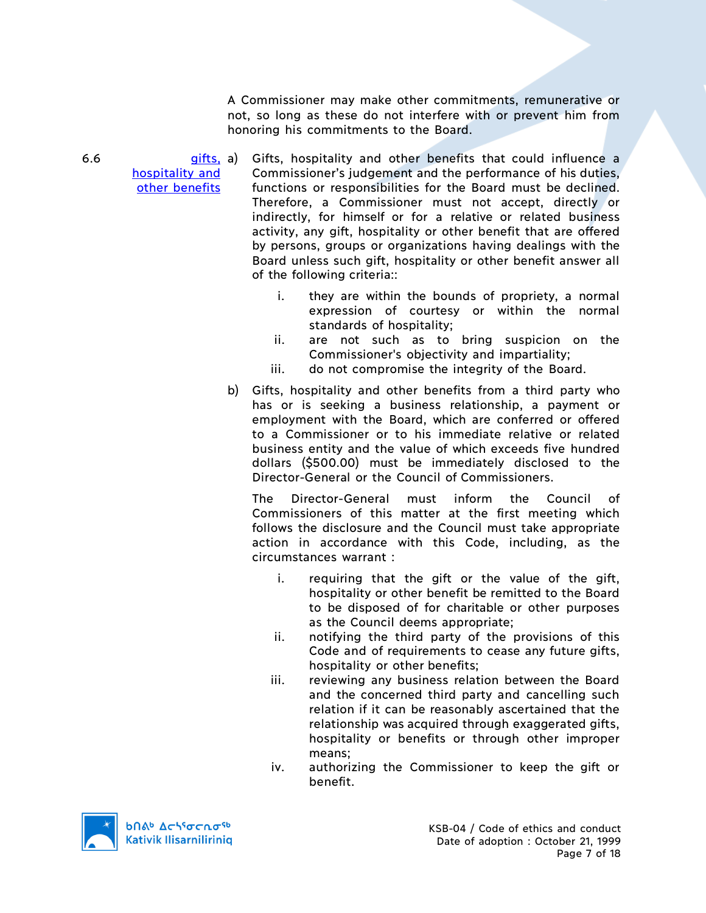A Commissioner may make other commitments, remunerative or not, so long as these do not interfere with or prevent him from honoring his commitments to the Board.

 $6.6$  gifts, a) hospitality and other benefits Gifts, hospitality and other benefits that could influence a Commissioner's judgement and the performance of his duties, functions or responsibilities for the Board must be declined. Therefore, a Commissioner must not accept, directly or indirectly, for himself or for a relative or related business activity, any gift, hospitality or other benefit that are offered by persons, groups or organizations having dealings with the Board unless such gift, hospitality or other benefit answer all of the following criteria::

- i. they are within the bounds of propriety, a normal expression of courtesy or within the normal standards of hospitality;
- ii. are not such as to bring suspicion on the Commissioner's objectivity and impartiality;
- iii. do not compromise the integrity of the Board.
- b) Gifts, hospitality and other benefits from a third party who has or is seeking a business relationship, a payment or employment with the Board, which are conferred or offered to a Commissioner or to his immediate relative or related business entity and the value of which exceeds five hundred dollars (\$500.00) must be immediately disclosed to the Director-General or the Council of Commissioners.

The Director-General must inform the Council of Commissioners of this matter at the first meeting which follows the disclosure and the Council must take appropriate action in accordance with this Code, including, as the circumstances warrant :

- i. requiring that the gift or the value of the gift, hospitality or other benefit be remitted to the Board to be disposed of for charitable or other purposes as the Council deems appropriate;
- ii. notifying the third party of the provisions of this Code and of requirements to cease any future gifts, hospitality or other benefits;
- iii. reviewing any business relation between the Board and the concerned third party and cancelling such relation if it can be reasonably ascertained that the relationship was acquired through exaggerated gifts, hospitality or benefits or through other improper means;
- iv. authorizing the Commissioner to keep the gift or benefit.

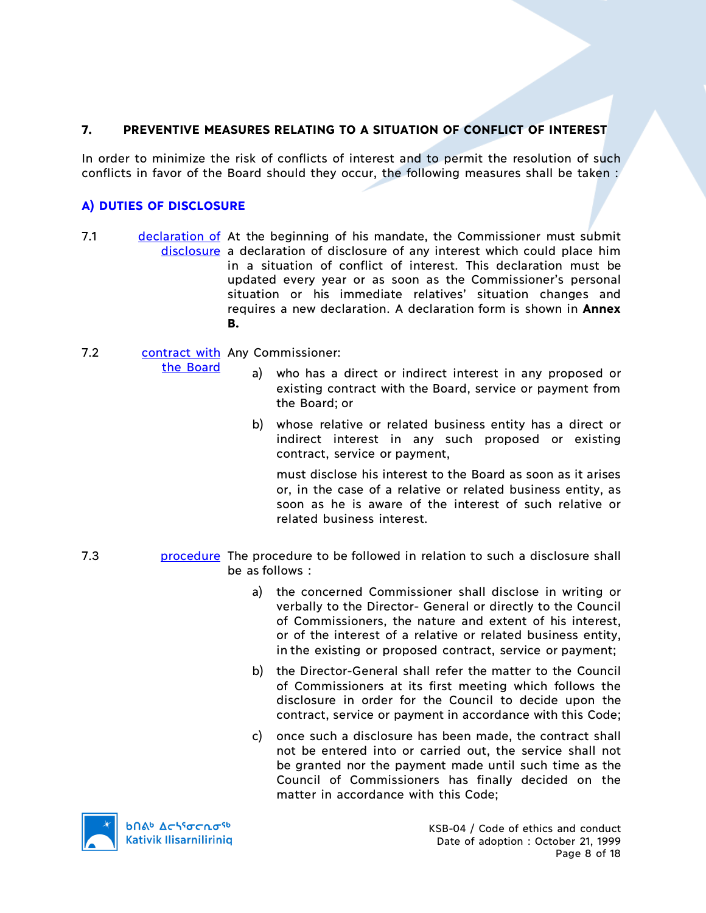# **7. PREVENTIVE MEASURES RELATING TO A SITUATION OF CONFLICT OF INTEREST**

In order to minimize the risk of conflicts of interest and to permit the resolution of such conflicts in favor of the Board should they occur, the following measures shall be taken :

# **A) DUTIES OF DISCLOSURE**

7.1 declaration of At the beginning of his mandate, the Commissioner must submit disclosure a declaration of disclosure of any interest which could place him in a situation of conflict of interest. This declaration must be updated every year or as soon as the Commissioner's personal situation or his immediate relatives' situation changes and requires a new declaration. A declaration form is shown in **Annex B.**

# 7.2 Contract with Any Commissioner:

the Board

- a) who has a direct or indirect interest in any proposed or existing contract with the Board, service or payment from the Board; or
- b) whose relative or related business entity has a direct or indirect interest in any such proposed or existing contract, service or payment,

must disclose his interest to the Board as soon as it arises or, in the case of a relative or related business entity, as soon as he is aware of the interest of such relative or related business interest.

- 7.3 procedure The procedure to be followed in relation to such a disclosure shall be as follows :
	- a) the concerned Commissioner shall disclose in writing or verbally to the Director- General or directly to the Council of Commissioners, the nature and extent of his interest, or of the interest of a relative or related business entity, in the existing or proposed contract, service or payment;
	- b) the Director-General shall refer the matter to the Council of Commissioners at its first meeting which follows the disclosure in order for the Council to decide upon the contract, service or payment in accordance with this Code;
	- c) once such a disclosure has been made, the contract shall not be entered into or carried out, the service shall not be granted nor the payment made until such time as the Council of Commissioners has finally decided on the matter in accordance with this Code;

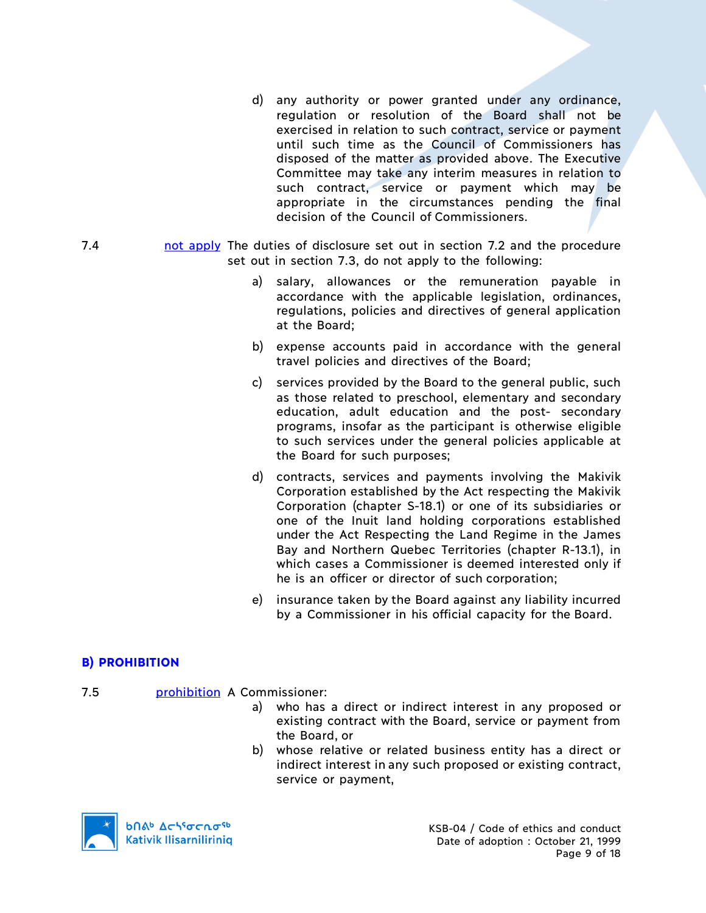- d) any authority or power granted under any ordinance, regulation or resolution of the Board shall not be exercised in relation to such contract, service or payment until such time as the Council of Commissioners has disposed of the matter as provided above. The Executive Committee may take any interim measures in relation to such contract, service or payment which may be appropriate in the circumstances pending the final decision of the Council of Commissioners.
- 7.4 not apply The duties of disclosure set out in section 7.2 and the procedure set out in section 7.3, do not apply to the following:
	- a) salary, allowances or the remuneration payable in accordance with the applicable legislation, ordinances, regulations, policies and directives of general application at the Board;
	- b) expense accounts paid in accordance with the general travel policies and directives of the Board;
	- c) services provided by the Board to the general public, such as those related to preschool, elementary and secondary education, adult education and the post- secondary programs, insofar as the participant is otherwise eligible to such services under the general policies applicable at the Board for such purposes;
	- d) contracts, services and payments involving the Makivik Corporation established by the Act respecting the Makivik Corporation (chapter S-18.1) or one of its subsidiaries or one of the Inuit land holding corporations established under the Act Respecting the Land Regime in the James Bay and Northern Quebec Territories (chapter R-13.1), in which cases a Commissioner is deemed interested only if he is an officer or director of such corporation;
	- e) insurance taken by the Board against any liability incurred by a Commissioner in his official capacity for the Board.

# **B) PROHIBITION**

- 7.5 prohibition A Commissioner:
	- a) who has a direct or indirect interest in any proposed or existing contract with the Board, service or payment from the Board, or
	- b) whose relative or related business entity has a direct or indirect interest in any such proposed or existing contract, service or payment,

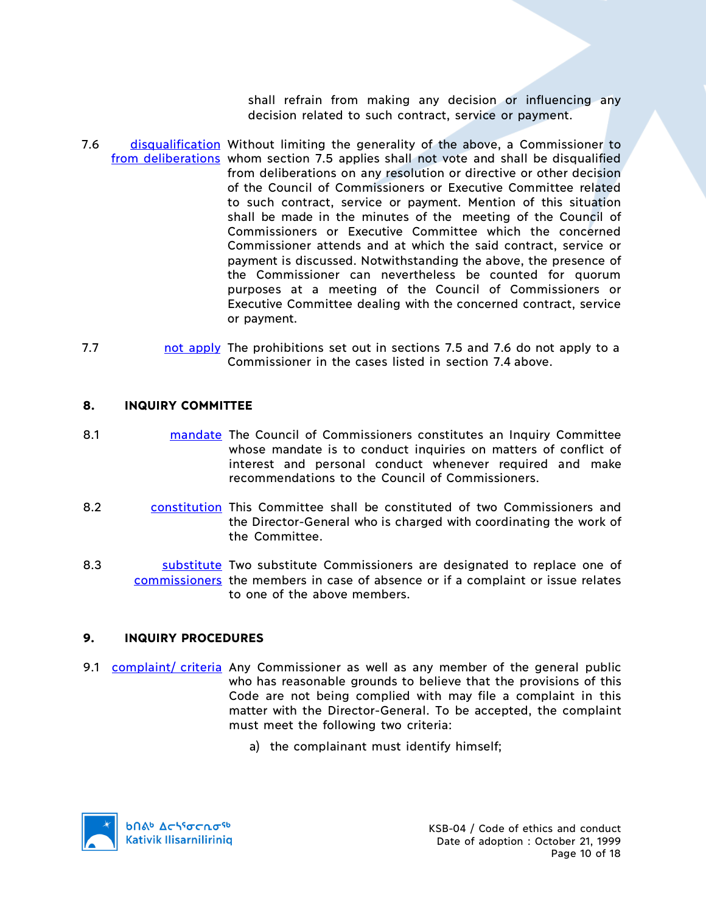shall refrain from making any decision or influencing any decision related to such contract, service or payment.

- 7.6 **disqualification** Without limiting the generality of the above, a Commissioner to from deliberations whom section 7.5 applies shall not vote and shall be disqualified from deliberations on any resolution or directive or other decision of the Council of Commissioners or Executive Committee related to such contract, service or payment. Mention of this situation shall be made in the minutes of the meeting of the Council of Commissioners or Executive Committee which the concerned Commissioner attends and at which the said contract, service or payment is discussed. Notwithstanding the above, the presence of the Commissioner can nevertheless be counted for quorum purposes at a meeting of the Council of Commissioners or Executive Committee dealing with the concerned contract, service or payment.
- 7.7 **not apply** The prohibitions set out in sections 7.5 and 7.6 do not apply to a Commissioner in the cases listed in section 7.4 above.

### **8. INQUIRY COMMITTEE**

- 8.1 **mandate** The Council of Commissioners constitutes an Inquiry Committee whose mandate is to conduct inquiries on matters of conflict of interest and personal conduct whenever required and make recommendations to the Council of Commissioners.
- 8.2 constitution This Committee shall be constituted of two Commissioners and the Director-General who is charged with coordinating the work of the Committee.
- 8.3 **Substitute** Two substitute Commissioners are designated to replace one of commissioners the members in case of absence or if a complaint or issue relates to one of the above members.

## **9. INQUIRY PROCEDURES**

- 9.1 complaint/ criteria Any Commissioner as well as any member of the general public who has reasonable grounds to believe that the provisions of this Code are not being complied with may file a complaint in this matter with the Director-General. To be accepted, the complaint must meet the following two criteria:
	- a) the complainant must identify himself;

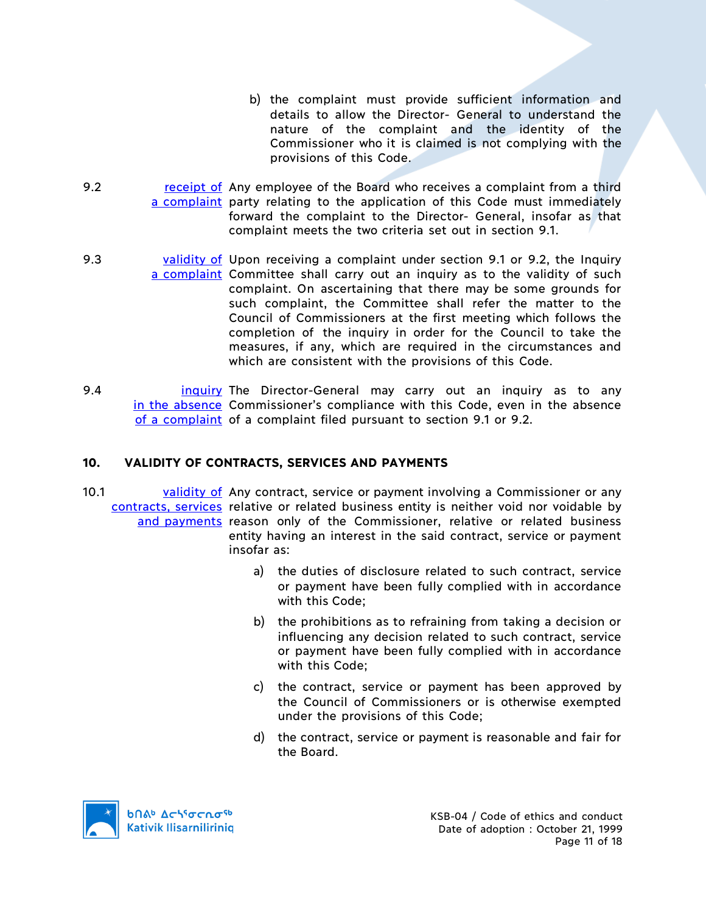- b) the complaint must provide sufficient information and details to allow the Director- General to understand the nature of the complaint and the identity of the Commissioner who it is claimed is not complying with the provisions of this Code.
- 9.2 **receipt of Any employee of the Board who receives a complaint from a third** a complaint party relating to the application of this Code must immediately forward the complaint to the Director- General, insofar as that complaint meets the two criteria set out in section 9.1.
- 9.3 validity of Upon receiving a complaint under section 9.1 or 9.2, the Inquiry a complaint Committee shall carry out an inquiry as to the validity of such complaint. On ascertaining that there may be some grounds for such complaint, the Committee shall refer the matter to the Council of Commissioners at the first meeting which follows the completion of the inquiry in order for the Council to take the measures, if any, which are required in the circumstances and which are consistent with the provisions of this Code.
- 9.4 **inquiry The Director-General may carry out an inquiry as to any** in the absence Commissioner's compliance with this Code, even in the absence of a complaint of a complaint filed pursuant to section 9.1 or 9.2.

# **10. VALIDITY OF CONTRACTS, SERVICES AND PAYMENTS**

- 10.1 validity of Any contract, service or payment involving a Commissioner or any contracts, services relative or related business entity is neither void nor voidable by and payments reason only of the Commissioner, relative or related business entity having an interest in the said contract, service or payment insofar as:
	- a) the duties of disclosure related to such contract, service or payment have been fully complied with in accordance with this Code;
	- b) the prohibitions as to refraining from taking a decision or influencing any decision related to such contract, service or payment have been fully complied with in accordance with this Code;
	- c) the contract, service or payment has been approved by the Council of Commissioners or is otherwise exempted under the provisions of this Code;
	- d) the contract, service or payment is reasonable and fair for the Board.

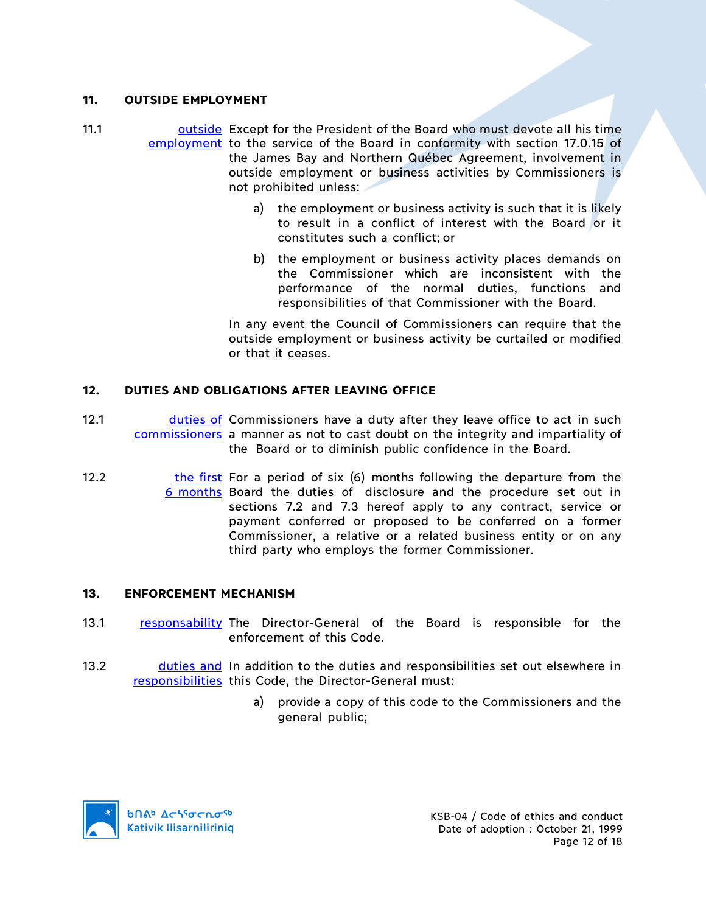### **11. OUTSIDE EMPLOYMENT**

- 11.1 **busimes a Contract Contract Contract State Contract Contract Contract Contract Contract Contract Contract** employment to the service of the Board in conformity with section 17.0.15 of the James Bay and Northern Québec Agreement, involvement in outside employment or business activities by Commissioners is not prohibited unless:
	- a) the employment or business activity is such that it is likely to result in a conflict of interest with the Board or it constitutes such a conflict; or
	- b) the employment or business activity places demands on the Commissioner which are inconsistent with the performance of the normal duties, functions and responsibilities of that Commissioner with the Board.

In any event the Council of Commissioners can require that the outside employment or business activity be curtailed or modified or that it ceases.

## **12. DUTIES AND OBLIGATIONS AFTER LEAVING OFFICE**

- 12.1 **duties of Commissioners have a duty after they leave office to act in such** commissioners a manner as not to cast doubt on the integrity and impartiality of the Board or to diminish public confidence in the Board.
- 12.2 **the first** For a period of six (6) months following the departure from the 6 months Board the duties of disclosure and the procedure set out in sections 7.2 and 7.3 hereof apply to any contract, service or payment conferred or proposed to be conferred on a former Commissioner, a relative or a related business entity or on any third party who employs the former Commissioner.

#### **13. ENFORCEMENT MECHANISM**

- 13.1 responsability The Director-General of the Board is responsible for the enforcement of this Code.
- 13.2 **duties and In addition to the duties and responsibilities set out elsewhere in** responsibilities this Code, the Director-General must:
	- a) provide a copy of this code to the Commissioners and the general public;

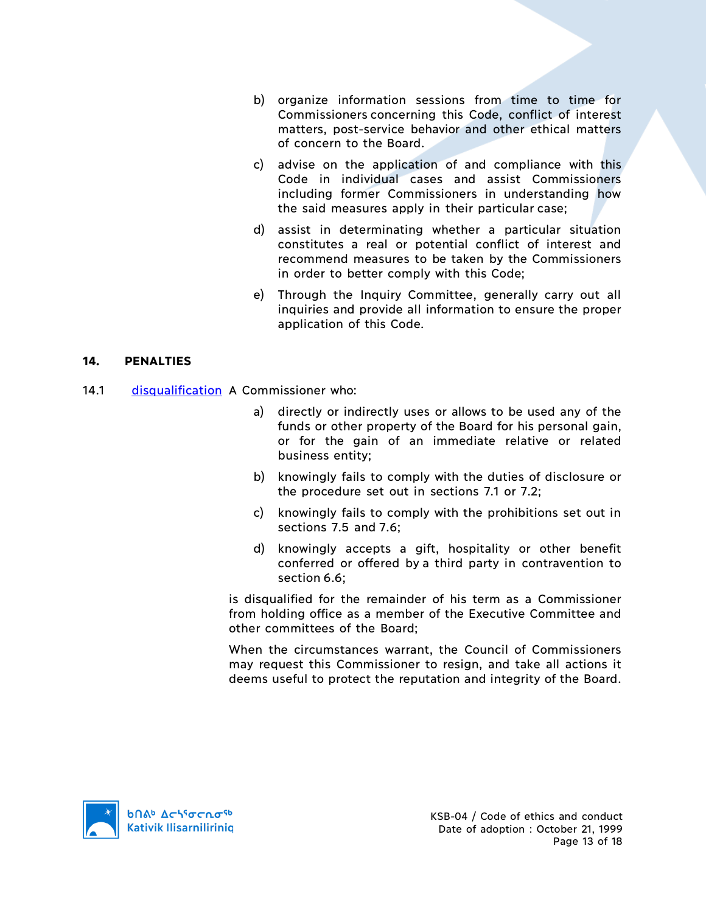- b) organize information sessions from time to time for Commissioners concerning this Code, conflict of interest matters, post-service behavior and other ethical matters of concern to the Board.
- c) advise on the application of and compliance with this Code in individual cases and assist Commissioners including former Commissioners in understanding how the said measures apply in their particular case;
- d) assist in determinating whether a particular situation constitutes a real or potential conflict of interest and recommend measures to be taken by the Commissioners in order to better comply with this Code;
- e) Through the Inquiry Committee, generally carry out all inquiries and provide all information to ensure the proper application of this Code.

### **14. PENALTIES**

- 14.1 disqualification A Commissioner who:
	- a) directly or indirectly uses or allows to be used any of the funds or other property of the Board for his personal gain, or for the gain of an immediate relative or related business entity;
	- b) knowingly fails to comply with the duties of disclosure or the procedure set out in sections 7.1 or 7.2;
	- c) knowingly fails to comply with the prohibitions set out in sections 7.5 and 7.6;
	- d) knowingly accepts a gift, hospitality or other benefit conferred or offered by a third party in contravention to section 6.6;

is disqualified for the remainder of his term as a Commissioner from holding office as a member of the Executive Committee and other committees of the Board;

When the circumstances warrant, the Council of Commissioners may request this Commissioner to resign, and take all actions it deems useful to protect the reputation and integrity of the Board.

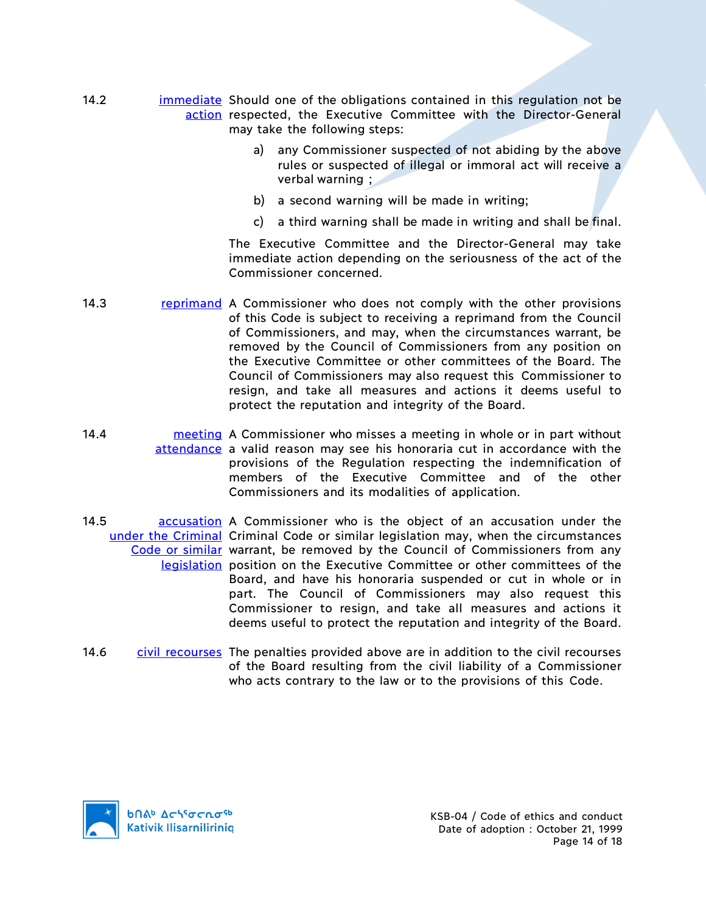- 14.2 **immediate** Should one of the obligations contained in this regulation not be action respected, the Executive Committee with the Director-General may take the following steps:
	- a) any Commissioner suspected of not abiding by the above rules or suspected of illegal or immoral act will receive a verbal warning ;
	- b) a second warning will be made in writing;
	- c) a third warning shall be made in writing and shall be final.

The Executive Committee and the Director-General may take immediate action depending on the seriousness of the act of the Commissioner concerned.

- 14.3 **reprimand** A Commissioner who does not comply with the other provisions of this Code is subject to receiving a reprimand from the Council of Commissioners, and may, when the circumstances warrant, be removed by the Council of Commissioners from any position on the Executive Committee or other committees of the Board. The Council of Commissioners may also request this Commissioner to resign, and take all measures and actions it deems useful to protect the reputation and integrity of the Board.
- 14.4 **meeting** A Commissioner who misses a meeting in whole or in part without attendance a valid reason may see his honoraria cut in accordance with the provisions of the Regulation respecting the indemnification of members of the Executive Committee and of the other Commissioners and its modalities of application.
- 14.5 **and a Commissioner** who is the object of an accusation under the under the Criminal Criminal Code or similar legislation may, when the circumstances Code or similar warrant, be removed by the Council of Commissioners from any legislation position on the Executive Committee or other committees of the Board, and have his honoraria suspended or cut in whole or in part. The Council of Commissioners may also request this Commissioner to resign, and take all measures and actions it deems useful to protect the reputation and integrity of the Board.
- 14.6 civil recourses The penalties provided above are in addition to the civil recourses of the Board resulting from the civil liability of a Commissioner who acts contrary to the law or to the provisions of this Code.

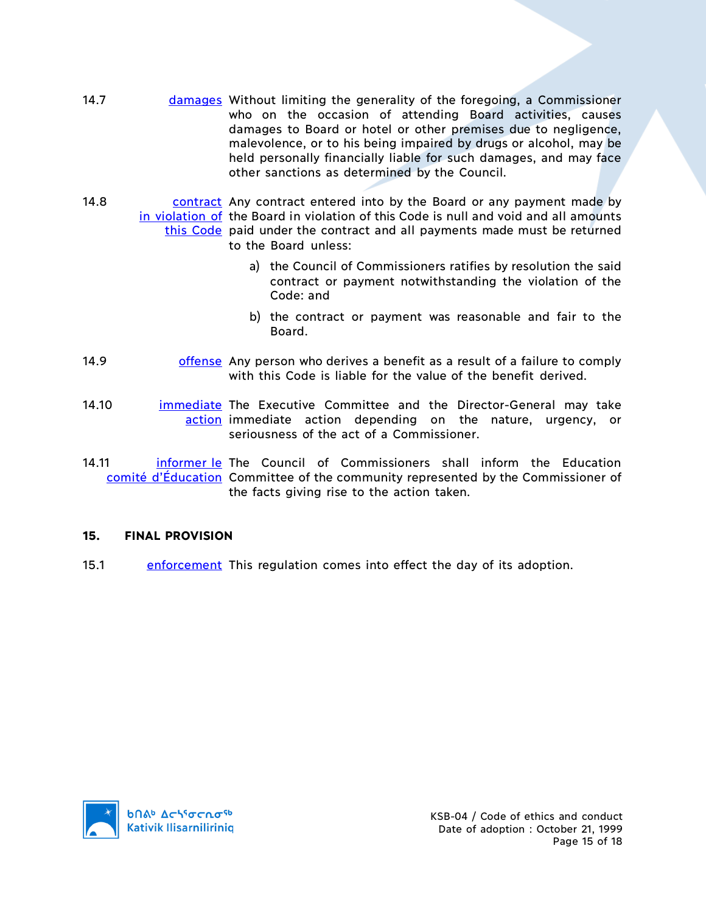- 14.7 **damages Without limiting the generality of the foregoing, a Commissioner** who on the occasion of attending Board activities, causes damages to Board or hotel or other premises due to negligence, malevolence, or to his being impaired by drugs or alcohol, may be held personally financially liable for such damages, and may face other sanctions as determined by the Council.
- 14.8 contract Any contract entered into by the Board or any payment made by in violation of the Board in violation of this Code is null and void and all amounts this Code paid under the contract and all payments made must be returned to the Board unless:
	- a) the Council of Commissioners ratifies by resolution the said contract or payment notwithstanding the violation of the Code: and
	- b) the contract or payment was reasonable and fair to the Board.
- 14.9 offense Any person who derives a benefit as a result of a failure to comply with this Code is liable for the value of the benefit derived.
- 14.10 **immediate** The Executive Committee and the Director-General may take action immediate action depending on the nature, urgency, or seriousness of the act of a Commissioner.
- 14.11 **informer le The Council of Commissioners shall inform the Education** comité d'Éducation Committee of the community represented by the Commissioner of the facts giving rise to the action taken.

## **15. FINAL PROVISION**

15.1 enforcement This regulation comes into effect the day of its adoption.

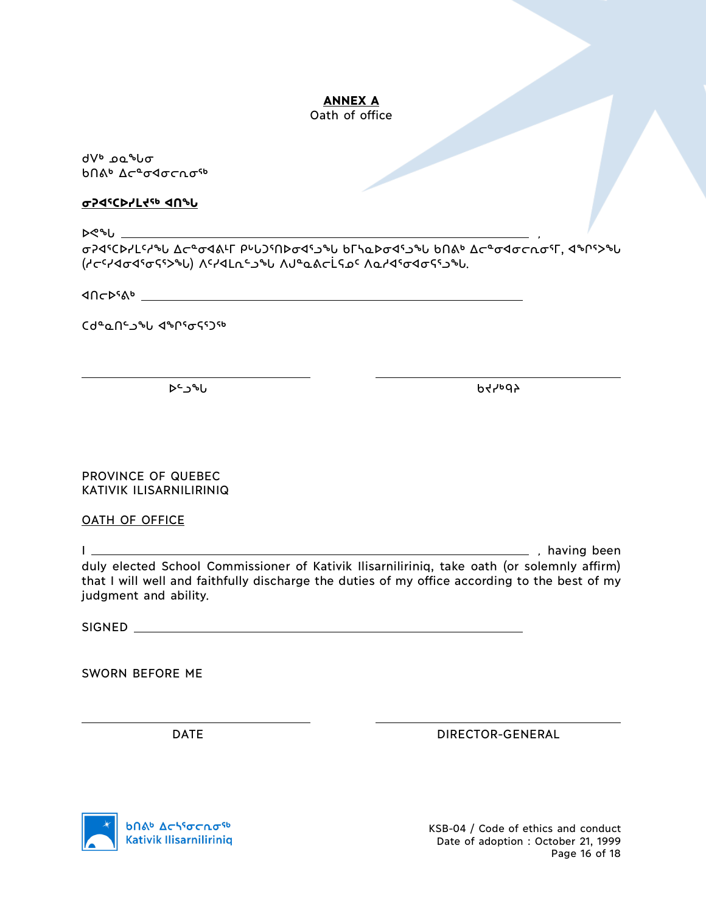### **ANNEX A** Oath of office

ᑯᐯᒃ ᓄᓇᖓᓂ ᑲᑎᕕᒃ ᐃᓕᓐᓂᐊᓂᓕᕆᓂᖅ

#### **ᓂᕈᐊᕐᑕᐅᓯᒪᔪᖅ ᐊᑎᖓ**

ᐅᕙᖓ ,

ᓂᕈᐊᕐᑕᐅᓯᒪᑦᓱᖓ ᐃᓕᓐᓂᐊᕕᒻᒥ ᑭᒡᒐᑐᕐᑎᐅᓂᐊᕐᓗᖓ ᑲᒥᓴᓇᐅᓂᐊᕐᓗᖓ ᑲᑎᕕᒃ ᐃᓕᓐᓂᐊᓂᓕᕆᓂᕐᒥ, ᐊᖏᕐᐳᖓ (ᓱᓕᑦᓯᐊᓂᐊᕐᓂᕋᕐᐳᖓ) ᐱᑦᓯᐊᒪᕆᓪᓗᖓ ᐱᒍᓐᓇᕕᓕᒫᕋᓄᑦ ᐱᓇᓱᐊᕐᓂᐊᓂᕋᕐᓗᖓ.

**MOCD**SAD

ᑕᑯᓐᓇᑎᓪᓗᖓ ᐊᖏᕐᓂᕋᕐᑐᖅ

ᐅᓪᓗᖓ ᑲᔪᓯᒃᑫᔨ

PROVINCE OF QUEBEC KATIVIK ILISARNILIRINIQ

OATH OF OFFICE

I , having been duly elected School Commissioner of Kativik Ilisarniliriniq, take oath (or solemnly affirm) that I will well and faithfully discharge the duties of my office according to the best of my judgment and ability.

SIGNED

SWORN BEFORE ME

DATE DIRECTOR-GENERAL



KSB-04 / Code of ethics and conduct Date of adoption : October 21, 1999 Page 16 of 18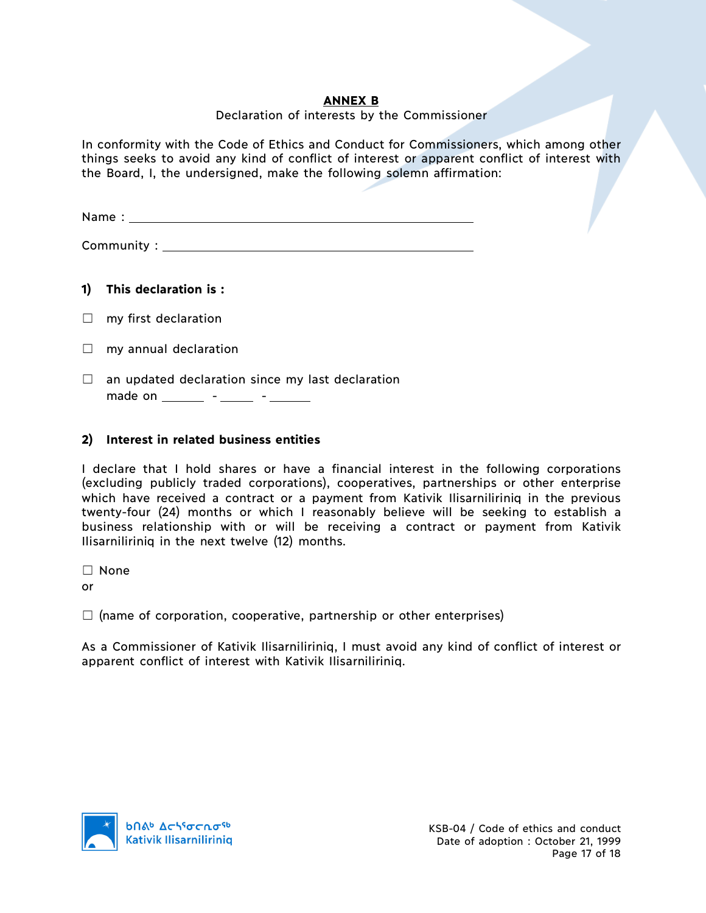### **ANNEX B**

#### Declaration of interests by the Commissioner

In conformity with the Code of Ethics and Conduct for Commissioners, which among other things seeks to avoid any kind of conflict of interest or apparent conflict of interest with the Board, I, the undersigned, make the following solemn affirmation:

Name :

Community :

**1) This declaration is :** 

 $\Box$  my first declaration

- $\Box$  my annual declaration
- $\Box$  an updated declaration since my last declaration made on \_\_\_\_\_\_ - \_\_\_\_\_ - \_\_\_\_\_

# **2) Interest in related business entities**

I declare that I hold shares or have a financial interest in the following corporations (excluding publicly traded corporations), cooperatives, partnerships or other enterprise which have received a contract or a payment from Kativik Ilisarniliriniq in the previous twenty-four (24) months or which I reasonably believe will be seeking to establish a business relationship with or will be receiving a contract or payment from Kativik Ilisarniliriniq in the next twelve (12) months.

☐ None

or

 $\Box$  (name of corporation, cooperative, partnership or other enterprises)

As a Commissioner of Kativik Ilisarniliriniq, I must avoid any kind of conflict of interest or apparent conflict of interest with Kativik Ilisarniliriniq.